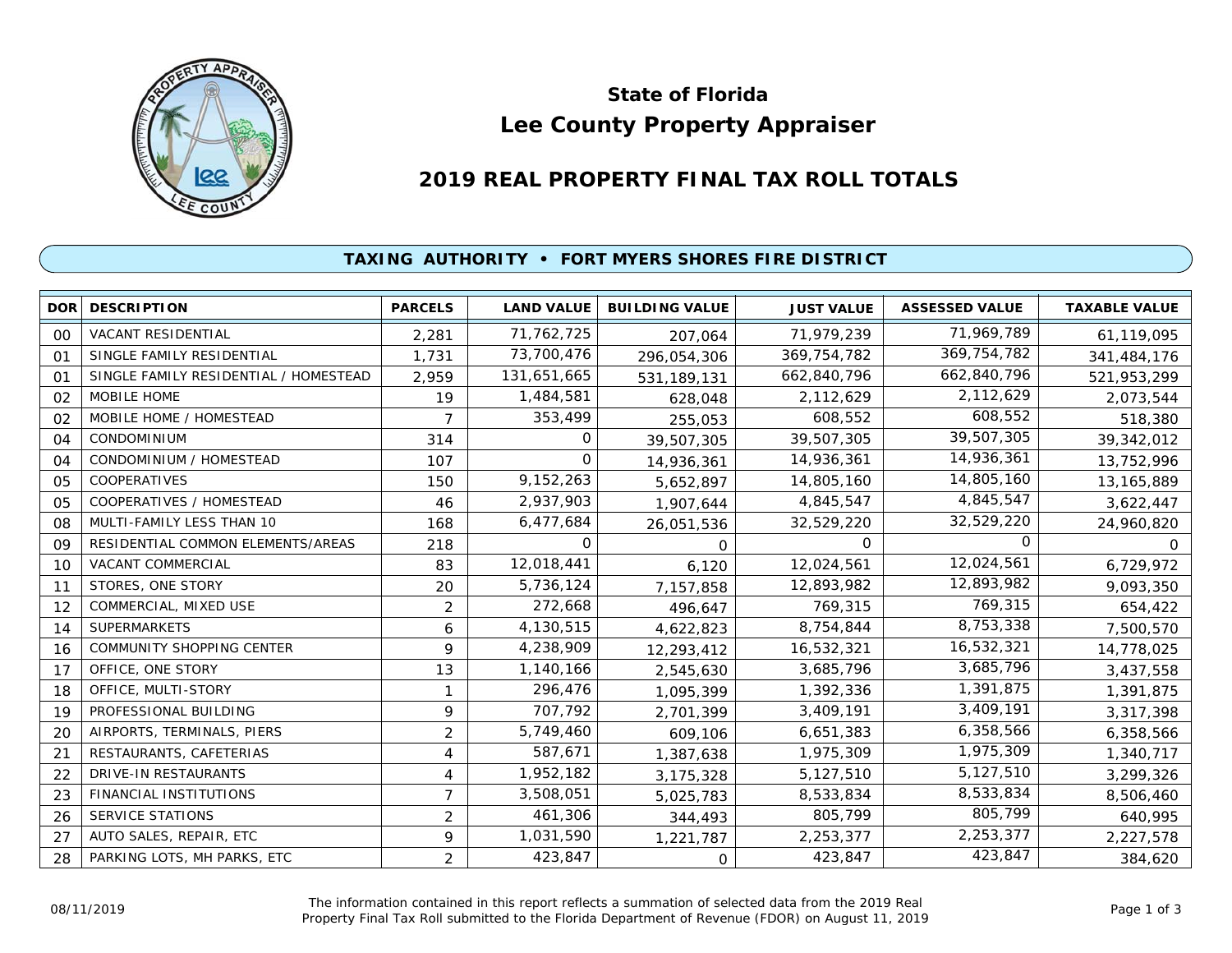

# **Lee County Property Appraiser State of Florida**

# **2019 REAL PROPERTY FINAL TAX ROLL TOTALS**

## **TAXING AUTHORITY • FORT MYERS SHORES FIRE DISTRICT**

| <b>DOR</b>     | <b>DESCRIPTION</b>                    | <b>PARCELS</b> | <b>LAND VALUE</b> | <b>BUILDING VALUE</b> | <b>JUST VALUE</b> | <b>ASSESSED VALUE</b> | <b>TAXABLE VALUE</b> |
|----------------|---------------------------------------|----------------|-------------------|-----------------------|-------------------|-----------------------|----------------------|
| 00             | <b>VACANT RESIDENTIAL</b>             | 2,281          | 71,762,725        | 207,064               | 71,979,239        | 71,969,789            | 61,119,095           |
| O <sub>1</sub> | SINGLE FAMILY RESIDENTIAL             | 1,731          | 73,700,476        | 296,054,306           | 369,754,782       | 369,754,782           | 341,484,176          |
| 01             | SINGLE FAMILY RESIDENTIAL / HOMESTEAD | 2,959          | 131,651,665       | 531, 189, 131         | 662,840,796       | 662,840,796           | 521,953,299          |
| 02             | <b>MOBILE HOME</b>                    | 19             | 1,484,581         | 628,048               | 2,112,629         | 2,112,629             | 2,073,544            |
| 02             | MOBILE HOME / HOMESTEAD               | 7              | 353,499           | 255,053               | 608,552           | 608,552               | 518,380              |
| 04             | <b>CONDOMINIUM</b>                    | 314            | O                 | 39,507,305            | 39,507,305        | 39,507,305            | 39,342,012           |
| 04             | CONDOMINIUM / HOMESTEAD               | 107            | $\Omega$          | 14,936,361            | 14,936,361        | 14,936,361            | 13,752,996           |
| 05             | COOPERATIVES                          | 150            | 9,152,263         | 5,652,897             | 14,805,160        | 14,805,160            | 13,165,889           |
| 05             | COOPERATIVES / HOMESTEAD              | 46             | 2,937,903         | 1,907,644             | 4,845,547         | 4,845,547             | 3,622,447            |
| 08             | MULTI-FAMILY LESS THAN 10             | 168            | 6,477,684         | 26,051,536            | 32,529,220        | 32,529,220            | 24,960,820           |
| 09             | RESIDENTIAL COMMON ELEMENTS/AREAS     | 218            | 0                 | 0                     | 0                 | $\Omega$              | $\Omega$             |
| 10             | VACANT COMMERCIAL                     | 83             | 12,018,441        | 6,120                 | 12,024,561        | 12,024,561            | 6,729,972            |
| 11             | STORES, ONE STORY                     | 20             | 5,736,124         | 7,157,858             | 12,893,982        | 12,893,982            | 9,093,350            |
| 12             | COMMERCIAL, MIXED USE                 | $\overline{2}$ | 272,668           | 496,647               | 769,315           | 769,315               | 654,422              |
| 14             | <b>SUPERMARKETS</b>                   | 6              | 4,130,515         | 4,622,823             | 8,754,844         | 8,753,338             | 7,500,570            |
| 16             | COMMUNITY SHOPPING CENTER             | 9              | 4,238,909         | 12,293,412            | 16,532,321        | 16,532,321            | 14,778,025           |
| 17             | OFFICE, ONE STORY                     | 13             | 1,140,166         | 2,545,630             | 3,685,796         | 3,685,796             | 3,437,558            |
| 18             | OFFICE, MULTI-STORY                   | $\mathbf 1$    | 296,476           | 1,095,399             | 1,392,336         | 1,391,875             | 1,391,875            |
| 19             | PROFESSIONAL BUILDING                 | 9              | 707,792           | 2,701,399             | 3,409,191         | 3,409,191             | 3,317,398            |
| 20             | AIRPORTS, TERMINALS, PIERS            | 2              | 5,749,460         | 609,106               | 6,651,383         | 6,358,566             | 6,358,566            |
| 21             | RESTAURANTS, CAFETERIAS               | 4              | 587,671           | 1,387,638             | 1,975,309         | 1,975,309             | 1,340,717            |
| 22             | DRIVE-IN RESTAURANTS                  | 4              | 1,952,182         | 3,175,328             | 5,127,510         | 5,127,510             | 3,299,326            |
| 23             | FINANCIAL INSTITUTIONS                | $\overline{7}$ | 3,508,051         | 5,025,783             | 8,533,834         | 8,533,834             | 8,506,460            |
| 26             | <b>SERVICE STATIONS</b>               | $\overline{2}$ | 461,306           | 344,493               | 805,799           | 805,799               | 640,995              |
| 27             | AUTO SALES, REPAIR, ETC               | 9              | 1,031,590         | 1,221,787             | 2,253,377         | 2,253,377             | 2,227,578            |
| 28             | PARKING LOTS, MH PARKS, ETC           | $\overline{2}$ | 423,847           | 0                     | 423,847           | 423,847               | 384,620              |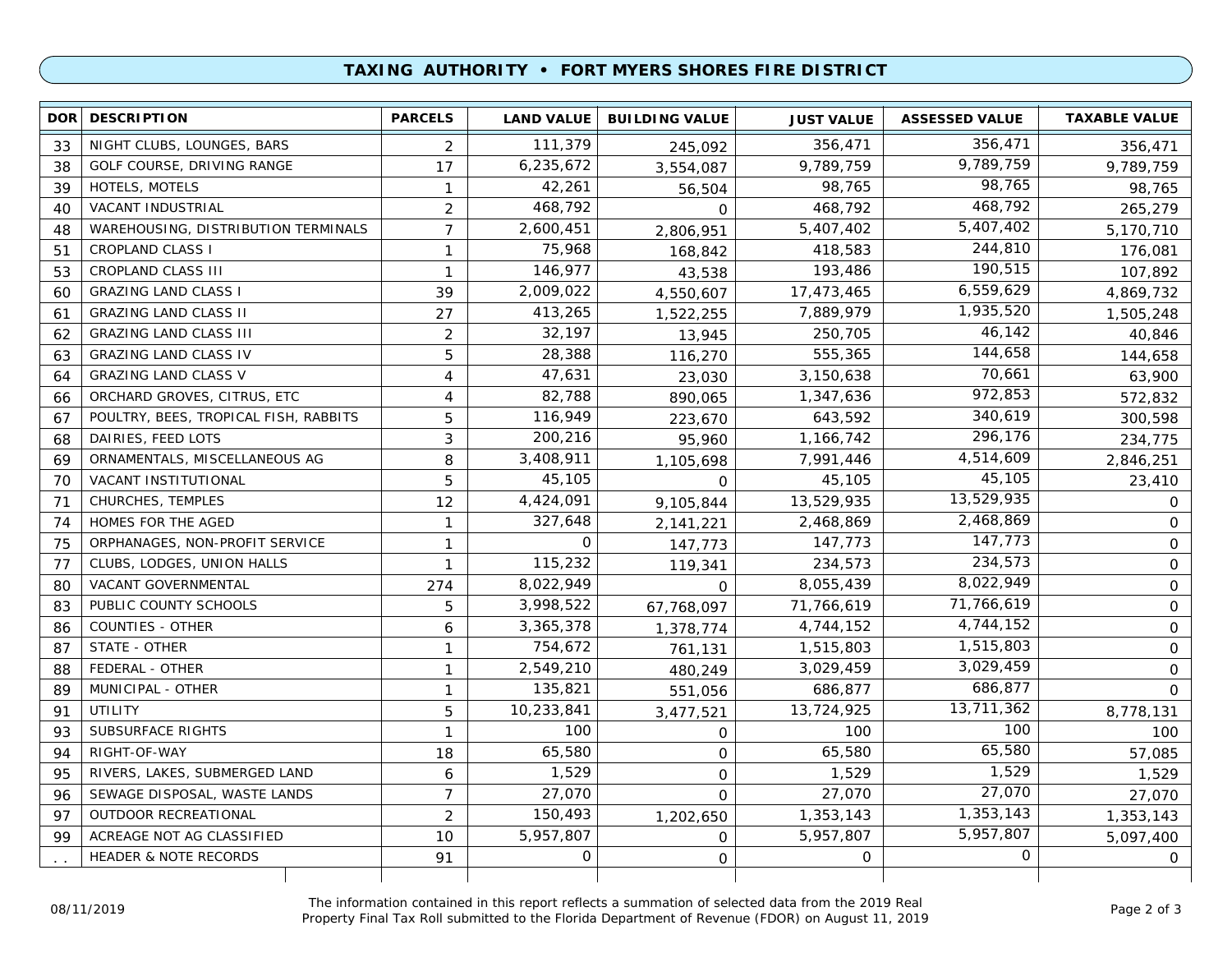### **TAXING AUTHORITY • FORT MYERS SHORES FIRE DISTRICT**

| <b>DOR</b> | <b>DESCRIPTION</b>                    | <b>PARCELS</b> | <b>LAND VALUE</b> | <b>BUILDING VALUE</b> | <b>JUST VALUE</b> | <b>ASSESSED VALUE</b> | <b>TAXABLE VALUE</b> |
|------------|---------------------------------------|----------------|-------------------|-----------------------|-------------------|-----------------------|----------------------|
| 33         | NIGHT CLUBS, LOUNGES, BARS            | 2              | 111,379           | 245,092               | 356,471           | 356,471               | 356,471              |
| 38         | GOLF COURSE, DRIVING RANGE            | 17             | 6,235,672         | 3,554,087             | 9,789,759         | 9,789,759             | 9,789,759            |
| 39         | HOTELS, MOTELS                        | $\mathbf{1}$   | 42,261            | 56,504                | 98,765            | 98,765                | 98,765               |
| 40         | VACANT INDUSTRIAL                     | $\overline{2}$ | 468,792           | 0                     | 468,792           | 468,792               | 265,279              |
| 48         | WAREHOUSING, DISTRIBUTION TERMINALS   | $\overline{7}$ | 2,600,451         | 2,806,951             | 5,407,402         | 5,407,402             | 5,170,710            |
| 51         | <b>CROPLAND CLASS I</b>               | $\mathbf{1}$   | 75,968            | 168,842               | 418,583           | 244,810               | 176,081              |
| 53         | CROPLAND CLASS III                    | $\mathbf{1}$   | 146,977           | 43,538                | 193,486           | 190,515               | 107,892              |
| 60         | <b>GRAZING LAND CLASS I</b>           | 39             | 2,009,022         | 4,550,607             | 17,473,465        | 6,559,629             | 4,869,732            |
| 61         | <b>GRAZING LAND CLASS II</b>          | 27             | 413,265           | 1,522,255             | 7,889,979         | 1,935,520             | 1,505,248            |
| 62         | <b>GRAZING LAND CLASS III</b>         | 2              | 32,197            | 13,945                | 250,705           | 46,142                | 40,846               |
| 63         | <b>GRAZING LAND CLASS IV</b>          | 5              | 28,388            | 116,270               | 555,365           | 144,658               | 144,658              |
| 64         | <b>GRAZING LAND CLASS V</b>           | $\overline{4}$ | 47,631            | 23,030                | 3,150,638         | 70,661                | 63,900               |
| 66         | ORCHARD GROVES, CITRUS, ETC           | 4              | 82,788            | 890,065               | 1,347,636         | 972,853               | 572,832              |
| 67         | POULTRY, BEES, TROPICAL FISH, RABBITS | 5              | 116,949           | 223,670               | 643,592           | 340,619               | 300,598              |
| 68         | DAIRIES, FEED LOTS                    | 3              | 200,216           | 95,960                | 1,166,742         | 296,176               | 234,775              |
| 69         | ORNAMENTALS, MISCELLANEOUS AG         | 8              | 3,408,911         | 1,105,698             | 7,991,446         | 4,514,609             | 2,846,251            |
| 70         | VACANT INSTITUTIONAL                  | 5              | 45,105            | $\Omega$              | 45,105            | 45,105                | 23,410               |
| 71         | CHURCHES, TEMPLES                     | 12             | 4,424,091         | 9,105,844             | 13,529,935        | 13,529,935            | $\mathbf{O}$         |
| 74         | HOMES FOR THE AGED                    | $\mathbf{1}$   | 327,648           | 2,141,221             | 2,468,869         | 2,468,869             | 0                    |
| 75         | ORPHANAGES, NON-PROFIT SERVICE        | $\mathbf{1}$   | $\mathbf 0$       | 147,773               | 147,773           | 147,773               | 0                    |
| 77         | CLUBS, LODGES, UNION HALLS            | $\mathbf{1}$   | 115,232           | 119,341               | 234,573           | 234,573               | 0                    |
| 80         | VACANT GOVERNMENTAL                   | 274            | 8,022,949         | 0                     | 8,055,439         | 8,022,949             | 0                    |
| 83         | PUBLIC COUNTY SCHOOLS                 | 5              | 3,998,522         | 67,768,097            | 71,766,619        | 71,766,619            | 0                    |
| 86         | <b>COUNTIES - OTHER</b>               | 6              | 3,365,378         | 1,378,774             | 4,744,152         | 4,744,152             | $\overline{0}$       |
| 87         | STATE - OTHER                         | $\mathbf{1}$   | 754,672           | 761,131               | 1,515,803         | 1,515,803             | $\overline{0}$       |
| 88         | FEDERAL - OTHER                       | $\mathbf{1}$   | 2,549,210         | 480,249               | 3,029,459         | 3,029,459             | $\overline{0}$       |
| 89         | MUNICIPAL - OTHER                     | $\mathbf{1}$   | 135,821           | 551,056               | 686,877           | 686,877               | 0                    |
| 91         | UTILITY                               | 5              | 10,233,841        | 3,477,521             | 13,724,925        | 13,711,362            | 8,778,131            |
| 93         | <b>SUBSURFACE RIGHTS</b>              | $\mathbf{1}$   | 100               | 0                     | 100               | 100                   | 100                  |
| 94         | RIGHT-OF-WAY                          | 18             | 65,580            | $\mathbf{O}$          | 65,580            | 65,580                | 57,085               |
| 95         | RIVERS, LAKES, SUBMERGED LAND         | 6              | 1,529             | 0                     | 1,529             | 1,529                 | 1,529                |
| 96         | SEWAGE DISPOSAL, WASTE LANDS          | $\overline{7}$ | 27,070            | $\mathsf{O}$          | 27,070            | 27,070                | 27,070               |
| 97         | OUTDOOR RECREATIONAL                  | $\overline{2}$ | 150,493           | 1,202,650             | 1,353,143         | 1,353,143             | 1,353,143            |
| 99         | ACREAGE NOT AG CLASSIFIED             | 10             | 5,957,807         | $\mathbf{O}$          | 5,957,807         | 5,957,807             | 5,097,400            |
|            | <b>HEADER &amp; NOTE RECORDS</b>      | 91             | 0                 | $\mathsf{O}$          | $\mathbf 0$       | 0                     | $\overline{O}$       |
|            |                                       |                |                   |                       |                   |                       |                      |

The information contained in this report reflects a summation of selected data from the 2019 Real Property Final Tax Roll submitted to the Florida Department of Revenue (FDOR) on August 11, 2019 08/11/2019 Page 2 of 3